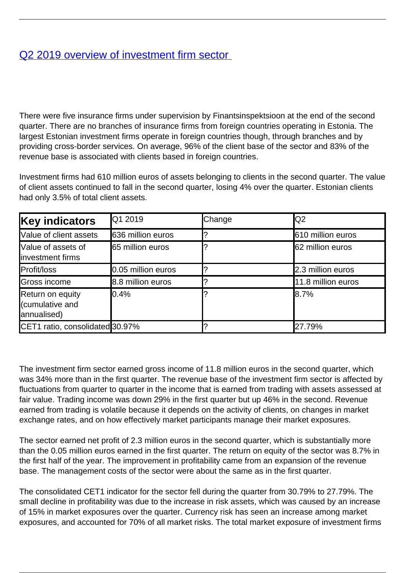## [Q2 2019 overview of investment firm sector](/en/publications/q2-2019-overview-investment-firm-sector)

There were five insurance firms under supervision by Finantsinspektsioon at the end of the second quarter. There are no branches of insurance firms from foreign countries operating in Estonia. The largest Estonian investment firms operate in foreign countries though, through branches and by providing cross-border services. On average, 96% of the client base of the sector and 83% of the revenue base is associated with clients based in foreign countries.

Investment firms had 610 million euros of assets belonging to clients in the second quarter. The value of client assets continued to fall in the second quarter, losing 4% over the quarter. Estonian clients had only 3.5% of total client assets.

| <b>Key indicators</b>                              | <b>Q</b> 1 2019    | Change | Q2                 |
|----------------------------------------------------|--------------------|--------|--------------------|
| Value of client assets                             | 636 million euros  |        | 610 million euros  |
| Value of assets of<br>investment firms             | 65 million euros   |        | 62 million euros   |
| Profit/loss                                        | 0.05 million euros |        | 2.3 million euros  |
| Gross income                                       | 8.8 million euros  |        | 11.8 million euros |
| Return on equity<br>(cumulative and<br>annualised) | $10.4\%$           |        | 8.7%               |
| CET1 ratio, consolidated 30.97%                    |                    |        | 27.79%             |

The investment firm sector earned gross income of 11.8 million euros in the second quarter, which was 34% more than in the first quarter. The revenue base of the investment firm sector is affected by fluctuations from quarter to quarter in the income that is earned from trading with assets assessed at fair value. Trading income was down 29% in the first quarter but up 46% in the second. Revenue earned from trading is volatile because it depends on the activity of clients, on changes in market exchange rates, and on how effectively market participants manage their market exposures.

The sector earned net profit of 2.3 million euros in the second quarter, which is substantially more than the 0.05 million euros earned in the first quarter. The return on equity of the sector was 8.7% in the first half of the year. The improvement in profitability came from an expansion of the revenue base. The management costs of the sector were about the same as in the first quarter.

The consolidated CET1 indicator for the sector fell during the quarter from 30.79% to 27.79%. The small decline in profitability was due to the increase in risk assets, which was caused by an increase of 15% in market exposures over the quarter. Currency risk has seen an increase among market exposures, and accounted for 70% of all market risks. The total market exposure of investment firms